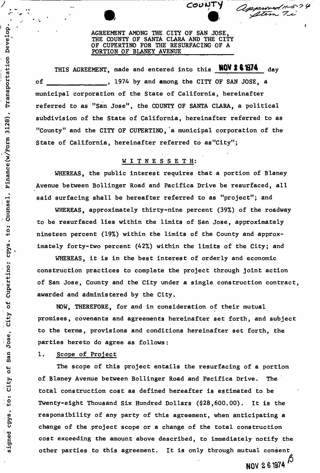AGREEMENT AMONG THE CITY OF SAN JOSE, THE COUNTY OF SANTA CLARA AND THE CITY OF CUPERTINO FOR THE RESURFACING OF A PORTION OF BLANEY AVENUE

*CaoUT-j ^* 

Atem

*V* 

THIS AGREEMENT, made and entered into this **NOV 261974** day of , 1974 by and among the CITY OF SAN JOSE, a municipal corporation of the State of California, hereinafter referred to as "San Jose", the COUNTY OF SANTA CLARA, a political subdivision of the State of California, hereinafter referred to as "County" and the CITY OF CUPERTINO, a municipal corporation of the State of California, hereinafter referred to as"City";

# WITNESSETH:

WHEREAS, the public interest requires that a portion of Blaney Avenue between Bollinger Road and Pacifica Drive be resurfaced, all said surfacing shall be hereafter referred to as "project"; and

WHEREAS, approximately thirty-nine percent (39%) of the roadway to be resurfaced lies within the limits of San Jose, approximately nineteen percent (19%) within the limits of the County and approximately forty-two percent (42%) within the limits of the City; and

WHEREAS, it is in the best interest of orderly and economic construction practices to complete the project through joint action of San Jose, County and the City under a single construction contract, awarded and administered by the City.

NOW, THEREFORE, for and in consideration of their mutual promises, covenants and agreements hereinafter set forth, and subject to the terms, provisions and conditions hereinafter set forth, the parties hereto do agree as follows:

1. Scope of Project

Develop

Transportation

3128)

Finance (w/Form

Counsel,

to:

cpys

Cupertino;

**SP** 

City

Jose,

San

đ

City

signed cpys. to:

The scope of this project entails the resurfacing of a portion of Blaney Avenue between Bollinger Road and Pacifica Drive. The total construction cost as defined hereafter is estimated to be Twenty-eight Thousand Six Hundred Dollars (\$28,600.00). It is the responsibility of any party of this agreement, when anticipating a change of the project scope or a change of the total construction cost exceeding the amount above described, to immediately notify the other parties to this agreement. It is only through mutual consent  $\beta$ <br>NOV 261974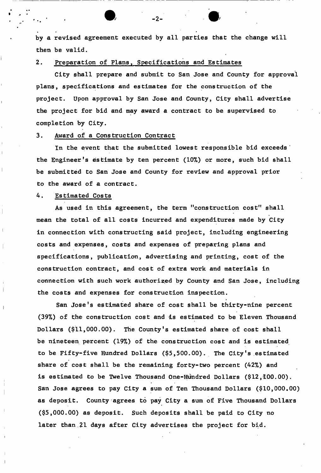by a revised agreement executed by all parties that the change will then be valid.

2. Preparation of Plans, Specifications and Estimates

City shall prepare and submit to San Jose and County for approval plans, specifications and estimates for the construction of the project. Upon approval by San Jose and County, City shall advertise the project for bid and may award a contract to be supervised to completion by City.

3. Award of a Construction Contract

In the event that the submitted lowest responsible bid exceeds ' the Engineer's estimate by ten percent (10%) or more, such bid shall be submitted to San Jose and County for review and approval prior to the award of a contract.

4. Estimated Costs

As used in this agreement, the term "construction cost" shall mean the total of all costs incurred and expenditures made by City in connection with constructing said project, including engineering costs and expenses, costs and expenses of preparing plans and specifications, publication, advertising and printing, cost of the construction contract, and cost of extra work and materials in connection with such work authorized by County and San Jose, including the costs and expenses for construction inspection.

San Jose's estimated share of cost shall be thirty-nine percent (39%) of the construction cost and is estimated to be Eleven Thousand Dollars (\$11,000.00). The County's estimated share of cost shall be nineteen percent (19%) of the construction cost and is estimated to be Fifty-five Hundred Dollars (\$5,500.00). The City's estimated share of cost shall be the remaining forty-two percent (42%) and is estimated to be Twelve Thousand One-Hundred Dollars (\$12,100.00). San Jose agrees to pay City a sum of Ten Thousand Dollars (\$10,000.00) as deposit. County agrees to pay City a sum of Five Thousand Dollars (\$5,000.00) as deposit. Such deposits shall be paid to City no later than.21 days after City advertises the project for bid.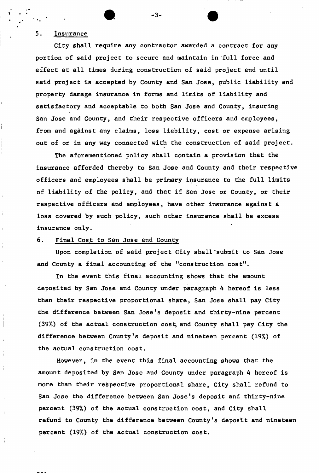# 5. Insurance

City shall require any contractor awarded a contract for any portion of said project to secure and maintain in full force and effect at all times during construction of said project and until said project is accepted by County and San Jose, public liability and property damage insurance in forms and limits of liability and satisfactory and acceptable to both San Jose and County, insuring San Jose and County, and their respective officers and employees, from and against any claims, loss liability, cost or expense arising out of or in any way connected with the construction of said project.

-3-

The aforementioned policy shall contain a provision that the insurance afforded thereby to San Jose and County and their respective officers and employees shall be primary insurance to the full limits of liability of the policy, and that if San Jose or County, or their respective officers and employees, have other insurance against a loss covered by such policy, such other insurance shall be excess insurance only.

# 6. Final Cost to San Jose and County

Upon completion of said project City shall"submit to San Jose and County a final accounting of the "construction  $cos t$ ".

In the event this final accounting shows that the amount deposited by San Jose and County under paragraph 4 hereof is less than their respective proportional share, San Jose shall pay City the difference between San Jose's deposit and thirty-nine percent (39%) of the actual construction cost; and County shall pay City the difference between County's deposit and nineteen percent (19%) of the actual construction cost.

However, in the event this final accounting shows that the amount deposited by San Jose and County under paragraph 4 hereof is more than their respective proportional share, City shall refund to San Jose the difference between San Jose's deposit and thirty-nine percent (39%) of the actual construction cost, and City shall refund to County the difference between County's deposit and nineteen percent (19%) of the actual construction cost.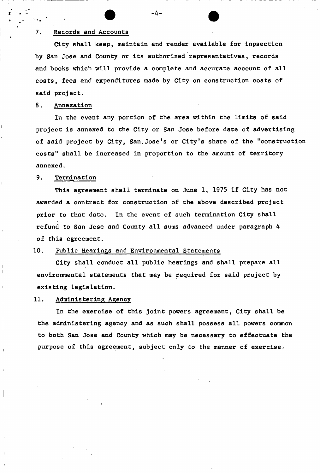#### 7. Records and Accounts

City shall keep, maintain and render available for inpsection by San Jose and County or its authorized representatives, records and books which will provide a complete and accurate account of all costs, fees and expenditures made by City on construction costs of said project.

## 8. Annexation

In the event any portion of the area within the limits of said project is annexed to the City or San Jose before date of advertising of said project by City, San.Jose's or City's share of the "construction costs" shall be increased in proportion to the amount of territory annexed.

#### 9. Termination

This agreement shall terminate on June 1, 1975 if City has not awarded a contract for construction of the above described project prior to that date. In the event of such termination City shall refund to San Jose and County all sums advanced under paragraph 4 of this agreement.

## 10. Public Hearings and Environmental Statements

City shall conduct all public hearings and shall prepare all environmental statements that may be required for said project by existing legislation.

## 11. Administering Agency

In the exercise of this joint powers agreement, City shall be the administering agency and as such shall possess all powers common to both San Jose and County which may be necessary to effectuate the purpose of this agreement, subject only to the manner of exercise.

-4-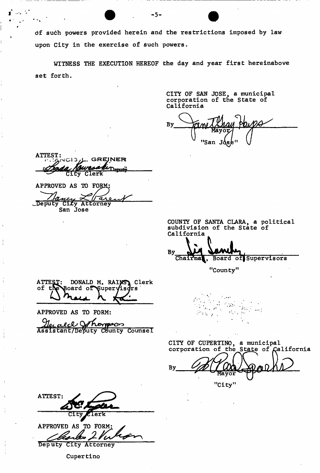df such powers provided herein and the restrictions imposed by law upon City in the exercise of such powers.

 $-5-$ 

WITNESS THE EXECUTION HEREOF the day and year first hereinabove set forth.

> CITY OF SAN JOSE, a municipal corporation of the State of California

By "San Jd

ATTEST: **c . t/iiMCi 3yL. GREJNE R**  Demitti City Clerk

 $\mathcal{A} \subset \mathcal{A}$ 

APPROVED AS TO FO *Deputy* City Attorney San Jose

COUNTY OF SANTA CLARA, a political subdivision of the State of California

By Chairma<sub>,</sub> Board of Supervisors

 $\sim 2\%$ 

"County"

 $\mathcal{O}_{\mathcal{A},\mathcal{A}}$ 

ATTEST: DONALD M. RAINS, Clerk of the Board of Supervisors Draw h La

APPROVED AS TO FORM:

<u>Herald Othomson</u><br>Assistant/Deputy County Counsel

CITY OF CUPERTINO, a municipal

 $\alpha$  .

 $\mathcal{F}$  and

 $\sim$   $\sim$ 

corporation of the State of California Вy "City "

ATTEST: erk

APPROVED AS TO FORM: torks Deputy City Attorney

Cupertino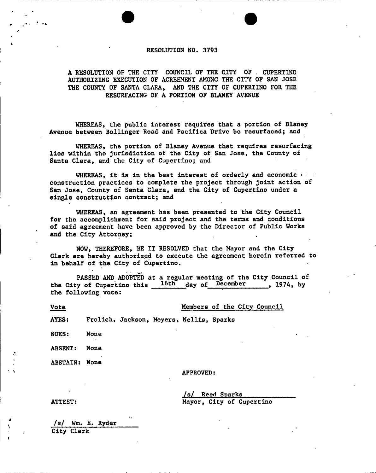#### **RESOLUTION NO. 3793**

**A RESOLUTION OF THE CITY COUNCIL OF THE CITY OF . CUPERTINO AUTHORIZING EXECUTION OF AGREEMENT AMONG THE CITY OF SAN JOSE THE COUNTY OF SANTA CLARA, AND THE CITY OF CUPERTINO FOR THE RESURFACING OF A PORTION OF BLANEY AVENUE** 

**WHEREAS, the public interest requires that a portion of Blaney Avenue between Bollinger Road and Pacifica Drive be resurfaced; and** 

**WHEREAS, the portion of Blaney Avenue that requires resurfacing lies within the jurisdiction of the City of San Jose, the County of Santa Clara, and the City of Cupertino; and** 

WHEREAS, it is in the best interest of orderly and economic  $\cdot$ **construction practices to complete the project through joint action of San Jose, County of Santa Clara, and the City of Cupertino under a single construction contract; and** 

**WHEREAS, an agreement has been presented to the City Council for the accomplishment for said project and the terms and conditions of said agreement have been approved by the Director of Public Works and the City Attorney;** 

**NOW, THEREFORE, BE IT RESOLVED that the Mayor and the City Clerk are hereby authorized to execute the agreement herein referred to in behalf of the City of Cupertino.** 

**PASSED AND ADOPTED at a regular meeting of the City Council of**  the City of Cupertino this 16th day of December **the following vote:** 

Vote Members of the City Council

**AYES: Frolich, Jackson, Meyers, Nellis, Sparks** 

**NOES: None** 

**ABSENT: None** 

**ABSTAIN: None** 

**APPROVED:** 

**/s/ Reed Sparks ATTEST: Mayor, City of Cupertino** 

**/s/ Wm. E. Ryder City Clerk**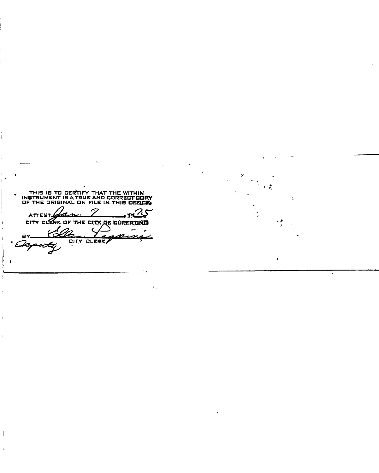THIS IS TO CERTIFY THAT THE WITHIN<br>INSTRUMENT IS A TRUE AND CORRECT COPY<br>OF THE ORIGINAL ON FILE IN THIS ORELOG  $\pmb{v}$ ATTEST Gan. 25 pr CITY CLERK OF THE CITY OF CUPERTING ty, DITY GLERK 8Y n ہیر  $\mathbf{I}$ 

 $\overline{\phantom{a}}$ 

٠.

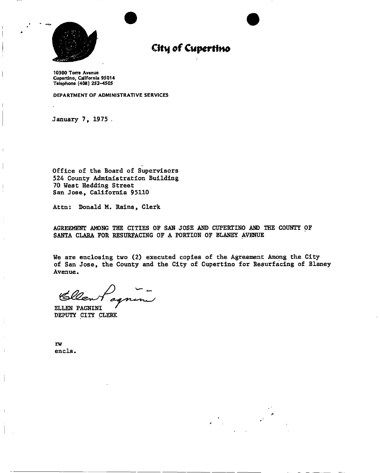

# **City of Cupertino**

**10300 Torre Avenue Cupertino, California 95014 Telephone (408) 252-4505** 

**DEPARTMENT OF ADMINISTRATIVE SERVICES** 

**January 7, 1975 .** 

**Office of the Board of Supervisors 524 County Administration Building 70 West Hedding Street San Jose, California 95110** 

**Attn: Donald M, Rains, Clerk** 

**AGREEMENT AMONG THE CITIES OF SAN JOSE AND CUPERTINO AND THE COUNTY OF SANTA CLARA FOR RESURFACING OF A PORTION OF BLANEY AVENUE** 

**We are enclosing two (2) executed copies of the Agreement Among the City of San Jose, the County and the City of Cupertino for Resurfacing of Blaney Avenue.** 

Cller

**ELLEN PAGNINI DEPUTY CITY CLERK** 

**rw**  encls.

 $\mathbf{I}$ 

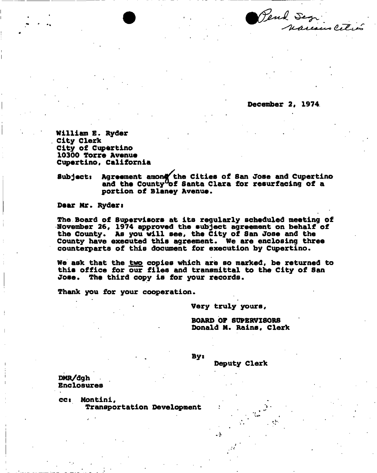Pend Segr

**December 2# 1974.** 

**William E. Ryder City Clerk City of Cupertino 10300 Torre Avenue Cupertino, California** 

**Subject: Agreement among the Cities of San Jose and Cupertino and the County^of Santa Clara for resurfacing of a portion of Blaney Avenue.** 

**Dear Mr. Ryders** 

**The Board of Supervisors at its regularly scheduled meeting of November 26, 1974 approved the subject agreement on behalf of the County. As you will see, the City of San Jose and the County have executed this agreement. We are enclosing three counterparts of this document for execution by Cupertino.** 

**We ask that the two copies which are so marked, be returned to this office for our files and transmittal to the City of San Jose. The third copy is for your records.** 

**Thank you for your cooperation.** 

**Very truly yours,** 

**BOARD OF SUPERVISORS Donald M. Rains, Clerk** 

**Deputy Clerk** 

 $By:$ 

**DMR/dgh Enclosures** 

**cct Montini, Transportation Development**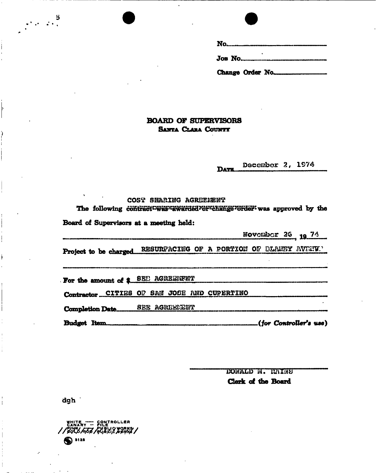| Change Order No. |  |  |  |
|------------------|--|--|--|

## **BOARD OF SUPERVISORS** *S***anta** *CLARA* **Countt**

December 2, 1974 DAT**E** 

### **COST SMARING AGREEMENT**

The following contract<sup>t</sup> was tawarded of change forder was approved by the

**Board of Supervisors at a meeting held:** 

**Hovombor 26 19 74** 

Project to be charged RESURFACING OF A PORTION OF BLAMEY AVENTY.'

For the amount of \$ 8EE AGREEMFNT

Contractor CITIES OP SAM JOSE AND CUPERTINO

**Completion Date............ SEE AGREEFEMT** 

**Budget Item** *(for ControUer'a* **iue)** 

*WslhLh* **U. Clerk of the Board** 

dgh

 $\frac{3}{2}$ 

**SANARY WHITE** 5) 3128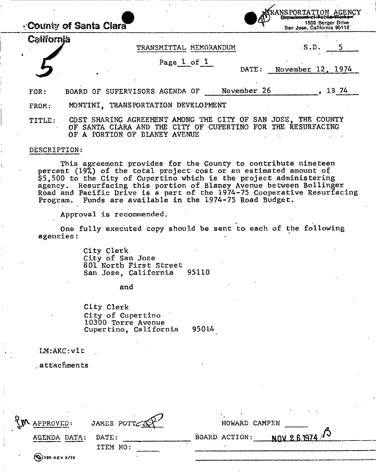|            | County of Santa Clara                                                                                                                                          | RANSPORTATION AGENCY<br>} <del>Departmont-cliffuctio-Norke-</del><br>1555 Berger Drive<br>San Jose, California 95112 |  |
|------------|----------------------------------------------------------------------------------------------------------------------------------------------------------------|----------------------------------------------------------------------------------------------------------------------|--|
| California | TRANSMITTAL MEMORANDUM                                                                                                                                         | S.D.                                                                                                                 |  |
|            | Page 1 of 1                                                                                                                                                    | November 12, 1974<br>DATE:                                                                                           |  |
| FOR:       | BOARD OF SUPERVISORS AGENDA OF                                                                                                                                 | November 26<br>19 74                                                                                                 |  |
| FROM:      | MONTINI, TRANSPORTATION DEVELOPMENT                                                                                                                            |                                                                                                                      |  |
| TITLE:     | COST SHARING AGREEMENT AMONG THE CITY OF SAN JOSE, THE COUNTY<br>OF SANTA CLARA AND THE CITY OF CUPERTINO FOR THE RESURFACING<br>OF A PORTION OF BLANEY AVENUE |                                                                                                                      |  |

#### DESCRIPTION:

**I I** 

> This agreement provides for the County to contribute nineteen percent (19%) of the total project cost or an estimated amount of \$5,500 to the City of Cupertino which is the project administering agency. Resurfacing this portion of Blaney Avenue between Bollinger Road and Pacific Drive is a part of the 1974-75 Cooperative Resurfacing Program. Funds are available in the 1974-75 Road Budget.

Approval is recommended.

One fully executed copy should be sent to- each of the following agencies:

> City Clerk City of San Jose 801 North First Street San Jose, California 95110

> > and

City Clerk City of Cupertino 10300 Torre Avenue Cupertino, California 95014

LM:AKC:vlt

.attachments

| EM APPROVED:         | JAMES POTT | HOWARD CAMPEN               |
|----------------------|------------|-----------------------------|
| AGENDA DATA:         | DATE:      | BOARD ACTION: $N/N$ 26 1974 |
|                      | ITEM NO:   |                             |
| $(x_i)$ 755 REV 2/73 |            |                             |